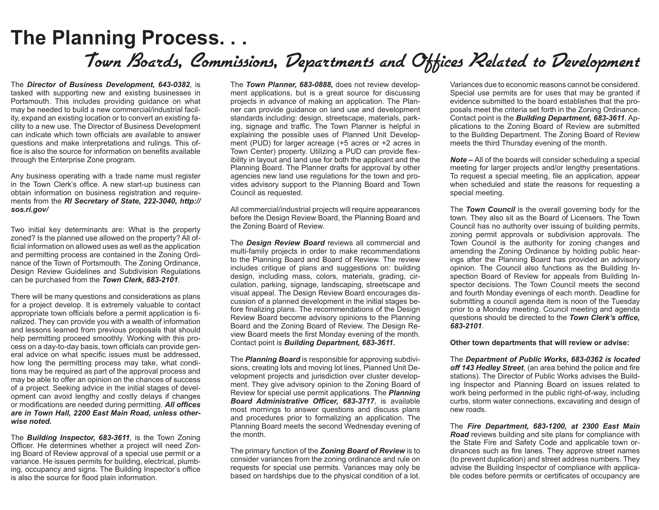## **The Planning Process. . .** Town Boards, Commissions, Departments and Offices Related to Development

The *Director of Business Development, 643-0382*, is tasked with supporting new and existing businesses in Portsmouth. This includes providing guidance on what may be needed to build a new commercial/industrial facility, expand an existing location or to convert an existing facility to a new use. The Director of Business Development can indicate which town officials are available to answer questions and make interpretations and rulings. This office is also the source for information on benefits available through the Enterprise Zone program.

Any business operating with a trade name must register in the Town Clerk's office. A new start-up business can obtain information on business registration and requirements from the *RI Secretary of State, 222-3040, http:// sos.ri.gov/*

Two initial key determinants are: What is the property zoned? Is the planned use allowed on the property? All official information on allowed uses as well as the application and permitting process are contained in the Zoning Ordinance of the Town of Portsmouth. The Zoning Ordinance, Design Review Guidelines and Subdivision Regulations can be purchased from the *Town Clerk, 683-2101*.

There will be many questions and considerations as plans for a project develop. It is extremely valuable to contact appropriate town officials before a permit application is finalized. They can provide you with a wealth of information and lessons learned from previous proposals that should help permitting proceed smoothly. Working with this process on a day-to-day basis, town officials can provide general advice on what specific issues must be addressed, how long the permitting process may take, what conditions may be required as part of the approval process and may be able to offer an opinion on the chances of success of a project. Seeking advice in the initial stages of development can avoid lengthy and costly delays if changes or modifications are needed during permitting. *All offices are in Town Hall, 2200 East Main Road, unless otherwise noted.*

The *Building Inspector, 683-3611*, is the Town Zoning Officer. He determines whether a project will need Zoning Board of Review approval of a special use permit or a variance. He issues permits for building, electrical, plumbing, occupancy and signs. The Building Inspector's office is also the source for flood plain information.

The *Town Planner, 683-0888,* does not review development applications, but is a great source for discussing projects in advance of making an application. The Planner can provide guidance on land use and development standards including: design, streetscape, materials, parking, signage and traffic. The Town Planner is helpful in explaining the possible uses of Planned Unit Development (PUD) for larger acreage (+5 acres or +2 acres in Town Center) property. Utilizing a PUD can provide flexibility in layout and land use for both the applicant and the Planning Board. The Planner drafts for approval by other agencies new land use regulations for the town and provides advisory support to the Planning Board and Town Council as requested.

All commercial/industrial projects will require appearances before the Design Review Board, the Planning Board and the Zoning Board of Review.

The *Design Review Board* reviews all commercial and multi-family projects in order to make recommendations to the Planning Board and Board of Review. The review includes critique of plans and suggestions on: building design, including mass, colors, materials, grading, circulation, parking, signage, landscaping, streetscape and visual appeal. The Design Review Board encourages discussion of a planned development in the initial stages before finalizing plans. The recommendations of the Design Review Board become advisory opinions to the Planning Board and the Zoning Board of Review. The Design Review Board meets the first Monday evening of the month. Contact point is *Building Department, 683-3611.*

The *Planning Board* is responsible for approving subdivisions, creating lots and moving lot lines, Planned Unit Development projects and jurisdiction over cluster development. They give advisory opinion to the Zoning Board of Review for special use permit applications. The *Planning Board Administrative Officer, 683-3717*, is available most mornings to answer questions and discuss plans and procedures prior to formalizing an application. The Planning Board meets the second Wednesday evening of the month.

The primary function of the *Zoning Board of Review* is to consider variances from the zoning ordinance and rule on requests for special use permits. Variances may only be based on hardships due to the physical condition of a lot.

Variances due to economic reasons cannot be considered. Special use permits are for uses that may be granted if evidence submitted to the board establishes that the proposals meet the criteria set forth in the Zoning Ordinance. Contact point is the *Building Department, 683-3611*. Applications to the Zoning Board of Review are submitted to the Building Department. The Zoning Board of Review meets the third Thursday evening of the month.

*Note –* All of the boards will consider scheduling a special meeting for larger projects and/or lengthy presentations. To request a special meeting, file an application, appear when scheduled and state the reasons for requesting a special meeting.

The *Town Council* is the overall governing body for the town. They also sit as the Board of Licensers. The Town Council has no authority over issuing of building permits, zoning permit approvals or subdivision approvals. The Town Council is the authority for zoning changes and amending the Zoning Ordinance by holding public hearings after the Planning Board has provided an advisory opinion. The Council also functions as the Building Inspection Board of Review for appeals from Building Inspector decisions. The Town Council meets the second and fourth Monday evenings of each month. Deadline for submitting a council agenda item is noon of the Tuesday prior to a Monday meeting. Council meeting and agenda questions should be directed to the *Town Clerk's office, 683-2101*.

#### **Other town departments that will review or advise:**

The *Department of Public Works, 683-0362 is located off 143 Hedley Street*, (an area behind the police and fire stations). The Director of Public Works advises the Building Inspector and Planning Board on issues related to work being performed in the public right-of-way, including curbs, storm water connections, excavating and design of new roads.

The *Fire Department, 683-1200, at 2300 East Main Road* reviews building and site plans for compliance with the State Fire and Safety Code and applicable town ordinances such as fire lanes. They approve street names (to prevent duplication) and street address numbers. They advise the Building Inspector of compliance with applicable codes before permits or certificates of occupancy are